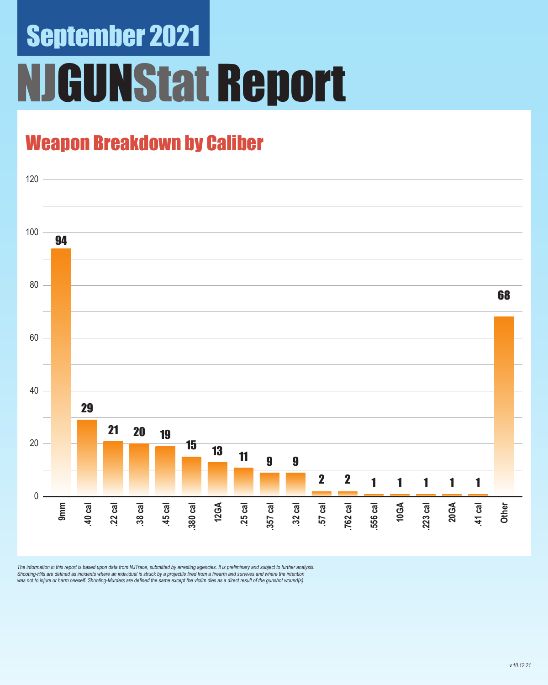# September 2021 **GUNStat Report**

### Weapon Breakdown by Caliber



The information in this report is based upon data from NJTrace, submitted by arresting agencies. It is preliminary and subject to further analysis.<br>Shooting-Hits are defined as incidents where an individual is struck by a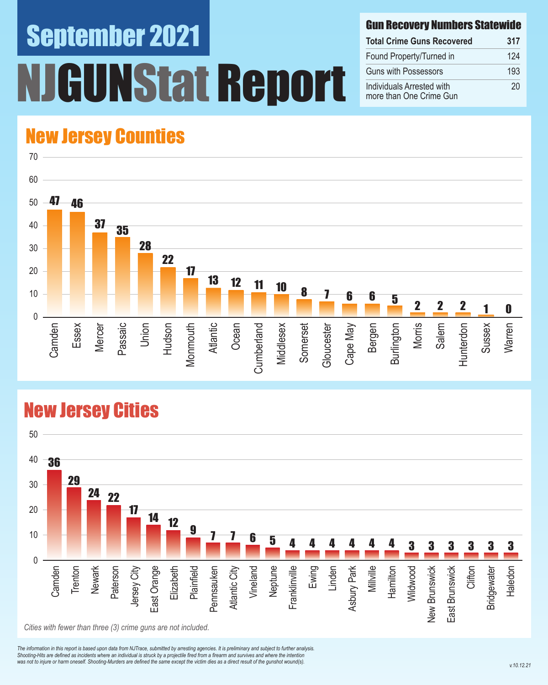# September 2021 INStat Report

#### Gun Recovery Numbers Statewide

| <b>Total Crime Guns Recovered</b>                    | 317 |
|------------------------------------------------------|-----|
| Found Property/Turned in                             | 124 |
| <b>Guns with Possessors</b>                          | 193 |
| Individuals Arrested with<br>more than One Crime Gun | 20  |

### New Jersey Counties



#### New Jersey Cities



*The information in this report is based upon data from NJTrace, submitted by arresting agencies. It is preliminary and subject to further analysis. Shooting-Hits are defined as incidents where an individual is struck by a projectile fired from a firearm and survives and where the intention*  was not to injure or harm oneself. Shooting-Murders are defined the same except the victim dies as a direct result of the gunshot wound(s).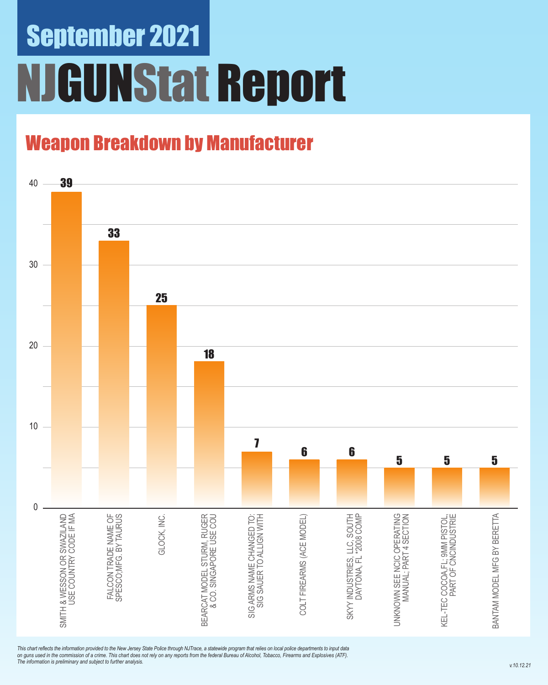# September 2021 NJGUNStat Report

### Weapon Breakdown by Manufacturer



*This chart reflects the information provided to the New Jersey State Police through NJTrace, a statewide program that relies on local police departments to input data on guns used in the commission of a crime. This chart does not rely on any reports from the federal Bureau of Alcohol, Tobacco, Firearms and Explosives (ATF). The information is preliminary and subject to further analysis.*